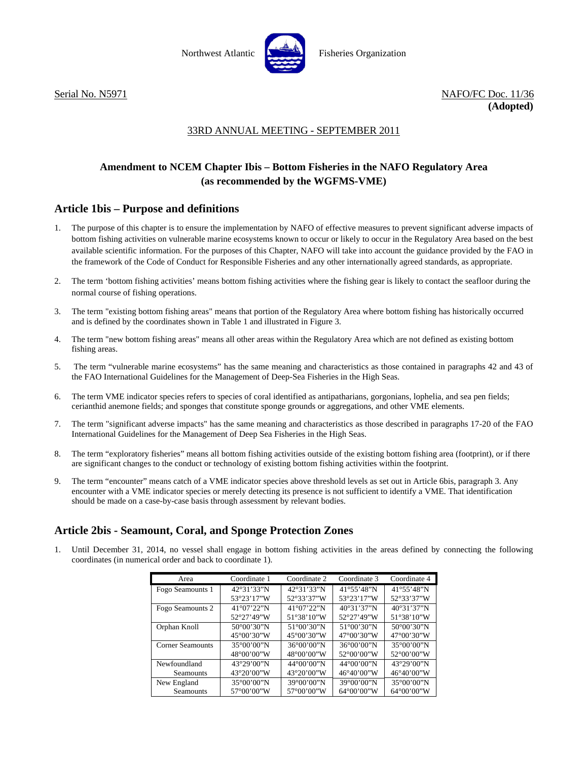



# 33RD ANNUAL MEETING - SEPTEMBER 2011

# **Amendment to NCEM Chapter Ibis – Bottom Fisheries in the NAFO Regulatory Area (as recommended by the WGFMS-VME)**

## **Article 1bis – Purpose and definitions**

- 1. The purpose of this chapter is to ensure the implementation by NAFO of effective measures to prevent significant adverse impacts of bottom fishing activities on vulnerable marine ecosystems known to occur or likely to occur in the Regulatory Area based on the best available scientific information. For the purposes of this Chapter, NAFO will take into account the guidance provided by the FAO in the framework of the Code of Conduct for Responsible Fisheries and any other internationally agreed standards, as appropriate.
- 2. The term 'bottom fishing activities' means bottom fishing activities where the fishing gear is likely to contact the seafloor during the normal course of fishing operations.
- 3. The term "existing bottom fishing areas" means that portion of the Regulatory Area where bottom fishing has historically occurred and is defined by the coordinates shown in Table 1 and illustrated in Figure 3.
- 4. The term "new bottom fishing areas" means all other areas within the Regulatory Area which are not defined as existing bottom fishing areas.
- 5. The term "vulnerable marine ecosystems" has the same meaning and characteristics as those contained in paragraphs 42 and 43 of the FAO International Guidelines for the Management of Deep-Sea Fisheries in the High Seas.
- 6. The term VME indicator species refers to species of coral identified as antipatharians, gorgonians, lophelia, and sea pen fields; cerianthid anemone fields; and sponges that constitute sponge grounds or aggregations, and other VME elements.
- 7. The term "significant adverse impacts" has the same meaning and characteristics as those described in paragraphs 17-20 of the FAO International Guidelines for the Management of Deep Sea Fisheries in the High Seas.
- 8. The term "exploratory fisheries" means all bottom fishing activities outside of the existing bottom fishing area (footprint), or if there are significant changes to the conduct or technology of existing bottom fishing activities within the footprint.
- 9. The term "encounter" means catch of a VME indicator species above threshold levels as set out in Article 6bis, paragraph 3. Any encounter with a VME indicator species or merely detecting its presence is not sufficient to identify a VME. That identification should be made on a case-by-case basis through assessment by relevant bodies.

# **Article 2bis - Seamount, Coral, and Sponge Protection Zones**

1. Until December 31, 2014, no vessel shall engage in bottom fishing activities in the areas defined by connecting the following coordinates (in numerical order and back to coordinate 1).

| Area             | Coordinate 1         | Coordinate 2          | Coordinate 3          | Coordinate 4          |
|------------------|----------------------|-----------------------|-----------------------|-----------------------|
| Fogo Seamounts 1 | 42°31'33"N           | 42°31'33"N            | 41°55'48"N            | 41°55'48"N            |
|                  | 53°23'17"W           | 52°33'37"W            | 53°23'17"W            | 52°33'37"W            |
| Fogo Seamounts 2 | 41°07'22"N           | 41°07'22"N            | 40°31'37"N            | 40°31'37"N            |
|                  | $52^{\circ}27'49''W$ | 51°38'10"W            | 52°27'49"W            | 51°38'10''W           |
| Orphan Knoll     | 50°00'30"N           | $51^{\circ}00'30''N$  | 51°00'30"N            | 50°00'30"N            |
|                  | 45°00'30"W           | 45°00'30"W            | 47°00'30"W            | 47°00'30"W            |
| Corner Seamounts | 35°00'00"N           | $36^{\circ}00'00''$ N | 36°00'00"N            | $35^{\circ}00'00''$ N |
|                  | 48°00'00"W           | 48°00'00"W            | 52°00'00"W            | 52°00'00"W            |
| Newfoundland     | 43°29'00"N           | 44°00'00"N            | 44°00'00"N            | 43°29'00"N            |
| <b>Seamounts</b> | 43°20'00"W           | 43°20'00"W            | 46°40'00"W            | 46°40'00"W            |
| New England      | 35°00'00"N           | 39°00'00"N            | 39°00'00"N            | $35^{\circ}00'00''$ N |
| <b>Seamounts</b> | 57°00'00"W           | 57°00'00"W            | $64^{\circ}00'00''$ W | $64^{\circ}00'00''$ W |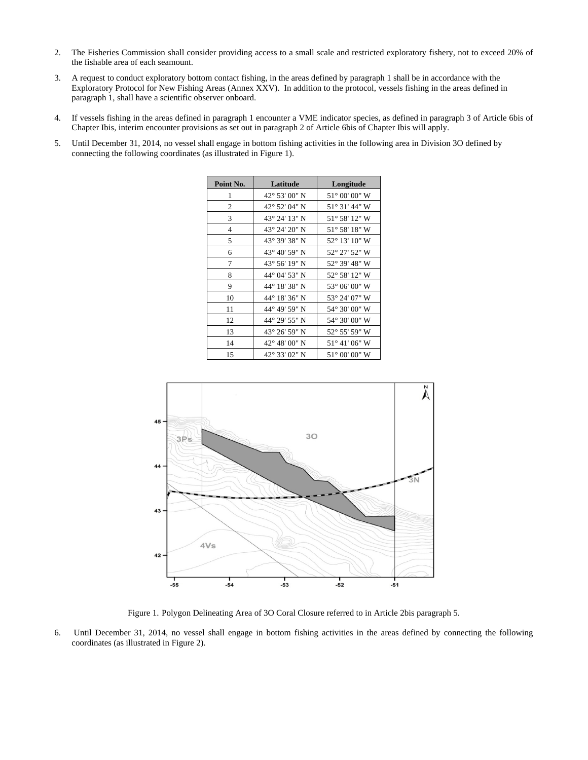- 2. The Fisheries Commission shall consider providing access to a small scale and restricted exploratory fishery, not to exceed 20% of the fishable area of each seamount.
- 3. A request to conduct exploratory bottom contact fishing, in the areas defined by paragraph 1 shall be in accordance with the Exploratory Protocol for New Fishing Areas (Annex XXV). In addition to the protocol, vessels fishing in the areas defined in paragraph 1, shall have a scientific observer onboard.
- 4. If vessels fishing in the areas defined in paragraph 1 encounter a VME indicator species, as defined in paragraph 3 of Article 6bis of Chapter Ibis, interim encounter provisions as set out in paragraph 2 of Article 6bis of Chapter Ibis will apply.
- 5. Until December 31, 2014, no vessel shall engage in bottom fishing activities in the following area in Division 3O defined by connecting the following coordinates (as illustrated in Figure 1).

| Point No. | Latitude      | Longitude              |
|-----------|---------------|------------------------|
| 1         | 42° 53′ 00" N | $51^{\circ}$ 00' 00" W |
| 2         | 42° 52′ 04″ N | 51° 31′ 44″ W          |
| 3         | 43° 24′ 13″ N | 51° 58′ 12″ W          |
| 4         | 43° 24′ 20″ N | $51^{\circ}$ 58' 18" W |
| 5         | 43° 39' 38" N | 52° 13' 10" W          |
| 6         | 43° 40' 59" N | 52° 27' 52" W          |
| 7         | 43° 56′ 19″ N | 52° 39' 48" W          |
| 8         | 44° 04' 53" N | 52° 58′ 12″ W          |
| 9         | 44° 18′ 38″ N | 53° 06' 00" W          |
| 10        | 44° 18′ 36″ N | 53° 24′ 07″ W          |
| 11        | 44° 49' 59" N | 54° 30' 00" W          |
| 12        | 44° 29' 55" N | 54° 30′ 00″ W          |
| 13        | 43° 26′ 59″ N | 52° 55' 59" W          |
| 14        | 42° 48′ 00″ N | $51^{\circ}$ 41' 06" W |
| 15        | 42° 33' 02" N | $51^{\circ}$ 00' 00" W |



Figure 1. Polygon Delineating Area of 3O Coral Closure referred to in Article 2bis paragraph 5.

6. Until December 31, 2014, no vessel shall engage in bottom fishing activities in the areas defined by connecting the following coordinates (as illustrated in Figure 2).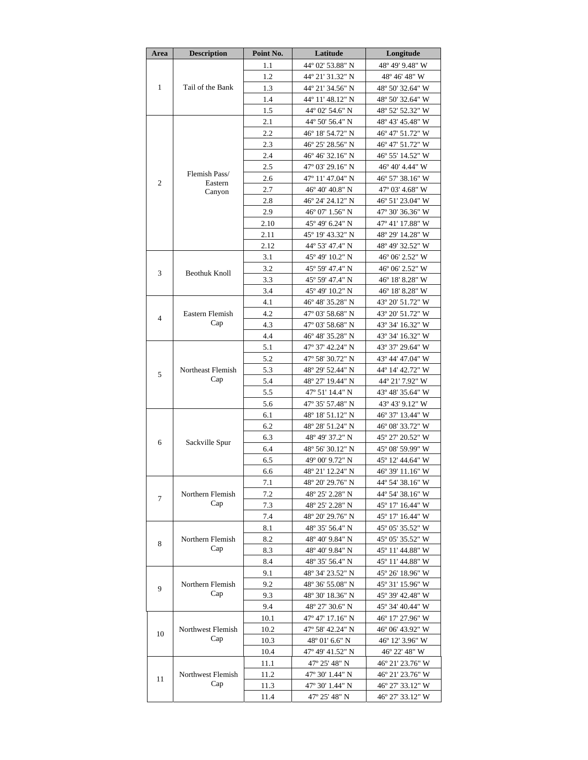| Area           | <b>Description</b>                 | Point No.    | Latitude                             | Longitude                            |  |
|----------------|------------------------------------|--------------|--------------------------------------|--------------------------------------|--|
| $\mathbf{1}$   |                                    | 1.1          | 44° 02' 53.88" N                     | 48° 49' 9.48" W                      |  |
|                |                                    | 1.2          | 44° 21' 31.32" N                     | 48° 46' 48" W                        |  |
|                | Tail of the Bank                   | 1.3          | 44° 21′ 34.56″ N                     | 48° 50' 32.64" W                     |  |
|                |                                    | 1.4          | 44° 11' 48.12" N                     | 48° 50' 32.64" W                     |  |
|                |                                    | 1.5          | 44° 02' 54.6" N                      | 48° 52' 52.32" W                     |  |
|                |                                    | 2.1          | 44° 50' 56.4" N                      | 48° 43' 45.48" W                     |  |
|                |                                    | 2.2          | 46° 18′ 54.72″ N                     | 46° 47′ 51.72″ W                     |  |
|                |                                    | 2.3          | 46° 25′ 28.56″ N                     | 46° 47' 51.72" W                     |  |
|                |                                    | 2.4          | 46° 46′ 32.16″ N                     | 46° 55' 14.52" W                     |  |
|                | Flemish Pass/<br>Eastern<br>Canyon | 2.5          | 47° 03′ 29.16″ N                     | 46° 40' 4.44" W                      |  |
| $\overline{2}$ |                                    | 2.6          | 47° 11' 47.04" N                     | 46° 57' 38.16" W                     |  |
|                |                                    | 2.7          | 46° 40′ 40.8" N                      | 47° 03′ 4.68″ W                      |  |
|                |                                    | 2.8          | 46° 24' 24.12" N                     | 46° 51′ 23.04″ W                     |  |
|                |                                    | 2.9          | 46° 07′ 1.56″ N                      | 47° 30' 36.36" W                     |  |
|                |                                    | 2.10         | 45° 49′ 6.24″ N                      | 47° 41′ 17.88″ W                     |  |
|                |                                    | 2.11         | 45° 19′ 43.32″ N                     | 48° 29′ 14.28″ W                     |  |
|                |                                    | 2.12         | 44° 53′ 47.4″ N                      | 48° 49′ 32.52″ W                     |  |
|                |                                    | 3.1          | 45° 49′ 10.2″ N                      | 46° 06' 2.52" W                      |  |
| 3              | Beothuk Knoll                      | 3.2          | 45° 59' 47.4" N                      | 46° 06′ 2.52″ W                      |  |
|                |                                    | 3.3          | 45° 59′ 47.4″ N                      | 46° 18' 8.28" W                      |  |
|                |                                    | 3.4          | 45° 49' 10.2" N                      | 46° 18′ 8.28″ W                      |  |
|                |                                    | 4.1<br>4.2   | 46° 48′ 35.28″ N<br>47° 03' 58.68" N | 43° 20' 51.72" W                     |  |
| $\overline{4}$ | Eastern Flemish<br>Cap             | 4.3          | 47° 03′ 58.68″ N                     | 43° 20′ 51.72″ W<br>43° 34′ 16.32″ W |  |
|                |                                    | 4.4          | 46° 48′ 35.28″ N                     | 43° 34′ 16.32" W                     |  |
|                |                                    | 5.1          | 47° 37' 42.24" N                     | 43° 37' 29.64" W                     |  |
|                |                                    | 5.2          | 47° 58′ 30.72″ N                     | 43° 44′ 47.04″ W                     |  |
|                | Northeast Flemish                  | 5.3          | 48° 29' 52.44" N                     | 44° 14' 42.72" W                     |  |
| 5              | Cap                                | 5.4          | 48° 27′ 19.44″ N                     | 44° 21′ 7.92″ W                      |  |
|                |                                    | 5.5          | 47° 51' 14.4" N                      | 43° 48' 35.64" W                     |  |
|                |                                    | 5.6          | 47° 35' 57.48" N                     | 43° 43′ 9.12″ W                      |  |
|                |                                    | 6.1          | 48° 18′ 51.12" N                     | 46° 37' 13.44" W                     |  |
|                |                                    | 6.2          | 48° 28′ 51.24″ N                     | 46° 08′ 33.72″ W                     |  |
|                |                                    | 6.3          | 48° 49′ 37.2″ N                      | 45° 27' 20.52" W                     |  |
| 6              | Sackville Spur                     | 6.4          | 48° 56' 30.12" N                     | 45° 08' 59.99" W                     |  |
|                |                                    | 6.5          | 49° 00' 9.72" N                      | 45° 12′ 44.64″ W                     |  |
|                |                                    | 6.6          | 48° 21' 12.24" N                     | 46° 39' 11.16" W                     |  |
|                | Northern Flemish<br>Cap            | 7.1          | 48° 20' 29.76" N                     | 44° 54' 38.16" W                     |  |
| 7              |                                    | 7.2          | 48° 25′ 2.28″ N                      | 44° 54′ 38.16″ W                     |  |
|                |                                    | 7.3          | 48° 25' 2.28" N                      | 45° 17' 16.44" W                     |  |
|                |                                    | 7.4          | 48° 20′ 29.76″ N                     | 45° 17′ 16.44″ W                     |  |
|                |                                    | 8.1          | 48° 35' 56.4" N                      | 45° 05′ 35.52″ W                     |  |
| 8              | Northern Flemish<br>Cap            | 8.2          | 48° 40' 9.84" N                      | 45° 05′ 35.52″ W                     |  |
|                |                                    | 8.3          | 48° 40' 9.84" N                      | 45° 11′ 44.88″ W                     |  |
|                |                                    | 8.4          | 48° 35′ 56.4″ N                      | 45° 11′ 44.88″ W                     |  |
| 9              | Northern Flemish<br>Cap            | 9.1          | 48° 34′ 23.52″ N                     | 45° 26′ 18.96″ W                     |  |
|                |                                    | 9.2          | 48° 36' 55.08" N                     | 45° 31′ 15.96″ W                     |  |
|                |                                    | 9.3          | 48° 30′ 18.36″ N                     | 45° 39′ 42.48″ W                     |  |
|                | Northwest Flemish<br>Cap           | 9.4          | 48° 27' 30.6" N                      | 45° 34′ 40.44″ W                     |  |
|                |                                    | 10.1         | 47° 47' 17.16" N                     | 46° 17' 27.96" W                     |  |
| 10             |                                    | 10.2         | 47° 58′ 42.24″ N                     | 46° 06′ 43.92″ W                     |  |
|                |                                    | 10.3         | 48° 01′ 6.6″ N                       | 46° 12′ 3.96″ W                      |  |
|                |                                    | 10.4         | 47° 49' 41.52" N                     | 46° 22′ 48″ W                        |  |
|                |                                    | 11.1         | 47° 25′ 48″ N                        | 46° 21′ 23.76″ W                     |  |
| 11             | Northwest Flemish<br>Cap           | 11.2         | 47° 30′ 1.44″ N                      | 46° 21′ 23.76″ W                     |  |
|                |                                    | 11.3<br>11.4 | 47° 30′ 1.44″ N<br>47° 25′ 48″ N     | 46° 27′ 33.12″ W<br>46° 27' 33.12" W |  |
|                |                                    |              |                                      |                                      |  |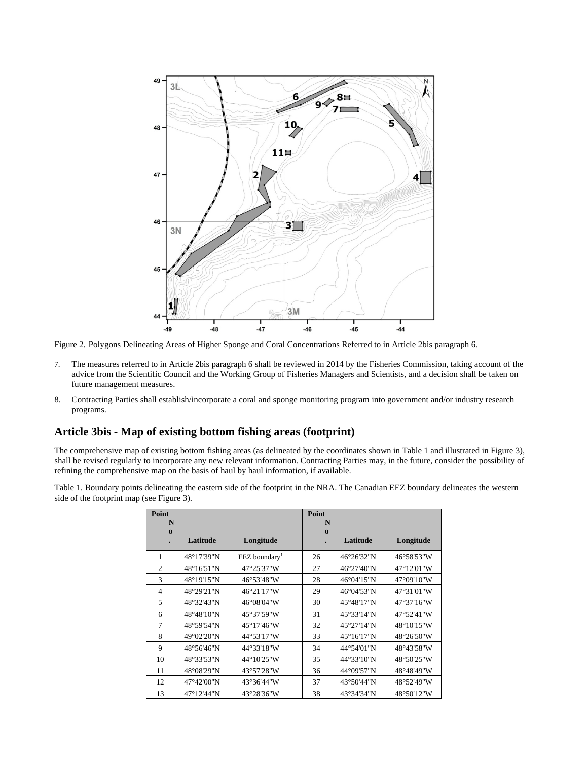

Figure 2. Polygons Delineating Areas of Higher Sponge and Coral Concentrations Referred to in Article 2bis paragraph 6.

- 7. The measures referred to in Article 2bis paragraph 6 shall be reviewed in 2014 by the Fisheries Commission, taking account of the advice from the Scientific Council and the Working Group of Fisheries Managers and Scientists, and a decision shall be taken on future management measures.
- 8. Contracting Parties shall establish/incorporate a coral and sponge monitoring program into government and/or industry research programs.

#### **Article 3bis - Map of existing bottom fishing areas (footprint)**

The comprehensive map of existing bottom fishing areas (as delineated by the coordinates shown in Table 1 and illustrated in Figure 3), shall be revised regularly to incorporate any new relevant information. Contracting Parties may, in the future, consider the possibility of refining the comprehensive map on the basis of haul by haul information, if available.

Table 1. Boundary points delineating the eastern side of the footprint in the NRA. The Canadian EEZ boundary delineates the western side of the footprint map (see Figure 3).

| Point          |            |                           | Point    |                      |                      |
|----------------|------------|---------------------------|----------|----------------------|----------------------|
| $\Omega$       | Latitude   | Longitude                 | $\Omega$ | Latitude             | Longitude            |
|                | 48°17'39"N | EEZ boundary <sup>1</sup> | 26       | 46°26'32"N           | 46°58'53"W           |
| 2              | 48°16'51"N | 47°25'37"W                | 27       | 46°27'40"N           | $47^{\circ}12'01''W$ |
| 3              | 48°19'15"N | 46°53'48"W                | 28       | 46°04'15"N           | 47°09'10"W           |
| $\overline{4}$ | 48°29'21"N | 46°21'17"W                | 29       | 46°04'53"N           | 47°31'01"W           |
| 5              | 48°32'43"N | 46°08'04"W                | 30       | 45°48'17"N           | 47°37'16"W           |
| 6              | 48°48'10"N | 45°37'59"W                | 31       | 45°33'14"N           | 47°52'41"W           |
| 7              | 48°59'54"N | 45°17'46"W                | 32       | 45°27'14"N           | 48°10'15"W           |
| 8              | 49°02'20"N | 44°53'17"W                | 33       | $45^{\circ}16'17''N$ | 48°26'50"W           |
| 9              | 48°56'46"N | 44°33'18"W                | 34       | 44°54'01"N           | 48°43'58"W           |
| 10             | 48°33'53"N | 44°10'25"W                | 35       | 44°33'10"N           | 48°50'25"W           |
| 11             | 48°08'29"N | 43°57'28"W                | 36       | 44°09'57"N           | 48°48'49"W           |
| 12             | 47°42'00"N | 43°36'44"W                | 37       | 43°50'44"N           | 48°52'49"W           |
| 13             | 47°12'44"N | 43°28'36"W                | 38       | 43°34'34"N           | 48°50'12"W           |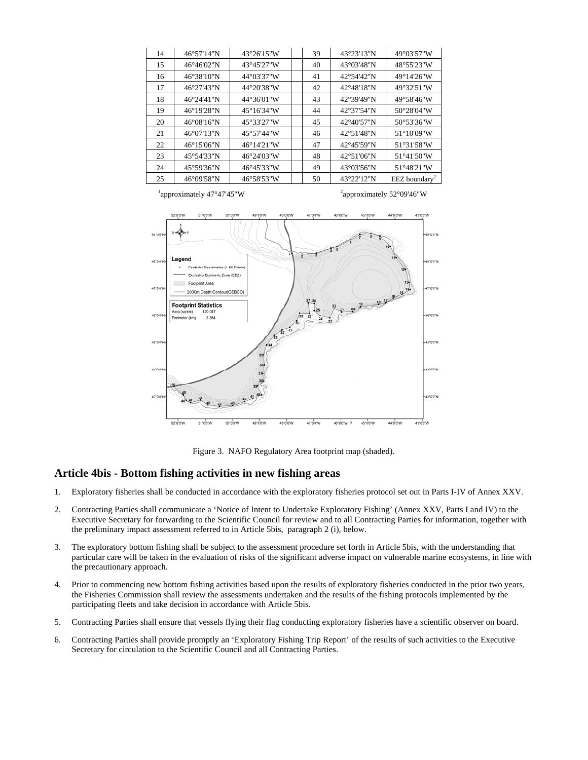| 14 | 46°57'14"N           | 43°26'15"W           | 39 | 43°23'13"N           | 49°03'57"W                  |
|----|----------------------|----------------------|----|----------------------|-----------------------------|
| 15 | $46^{\circ}46'02''N$ | 43°45'27"W           | 40 | 43°03'48"N           | 48°55'23"W                  |
| 16 | 46°38'10"N           | 44°03'37"W           | 41 | 42°54'42"N           | 49°14'26"W                  |
| 17 | 46°27'43"N           | 44°20'38"W           | 42 | $42^{\circ}48'18''N$ | 49°32'51"W                  |
| 18 | 46°24'41"N           | 44°36'01"W           | 43 | 42°39'49"N           | 49°58'46"W                  |
| 19 | $46^{\circ}19'28''N$ | $45^{\circ}16'34''W$ | 44 | $42^{\circ}37'54''N$ | 50°28'04"W                  |
| 20 | $46^{\circ}08'16''N$ | 45°33'27"W           | 45 | $42^{\circ}40'57''N$ | 50°53'36"W                  |
| 21 | $46^{\circ}07'13''N$ | 45°57'44"W           | 46 | $42^{\circ}51'48''N$ | $51^{\circ}10'09''$ W       |
| 22 | 46°15′06″N           | 46°14'21"W           | 47 | 42°45'59"N           | 51°31'58"W                  |
| 23 | 45°54'33"N           | 46°24'03"W           | 48 | $42^{\circ}51'06''N$ | 51°41'50"W                  |
| 24 | $45^{\circ}59'36''N$ | 46°45'33"W           | 49 | 43°03'56"N           | $51^{\circ}48'21''W$        |
| 25 | 46°09'58"N           | 46°58'53"W           | 50 | 43°22'12"N           | $EEZ$ boundary <sup>2</sup> |



Figure 3. NAFO Regulatory Area footprint map (shaded).

#### **Article 4bis - Bottom fishing activities in new fishing areas**

- 1. Exploratory fisheries shall be conducted in accordance with the exploratory fisheries protocol set out in Parts I-IV of Annex XXV.
- 2. Contracting Parties shall communicate a 'Notice of Intent to Undertake Exploratory Fishing' (Annex XXV, Parts I and IV) to the Executive Secretary for forwarding to the Scientific Council for review and to all Contracting Parties for information, together with the preliminary impact assessment referred to in Article 5bis, paragraph 2 (i), below.
- 3. The exploratory bottom fishing shall be subject to the assessment procedure set forth in Article 5bis, with the understanding that particular care will be taken in the evaluation of risks of the significant adverse impact on vulnerable marine ecosystems, in line with the precautionary approach.
- 4. Prior to commencing new bottom fishing activities based upon the results of exploratory fisheries conducted in the prior two years, the Fisheries Commission shall review the assessments undertaken and the results of the fishing protocols implemented by the participating fleets and take decision in accordance with Article 5bis.
- 5. Contracting Parties shall ensure that vessels flying their flag conducting exploratory fisheries have a scientific observer on board.
- 6. Contracting Parties shall provide promptly an 'Exploratory Fishing Trip Report' of the results of such activities to the Executive Secretary for circulation to the Scientific Council and all Contracting Parties.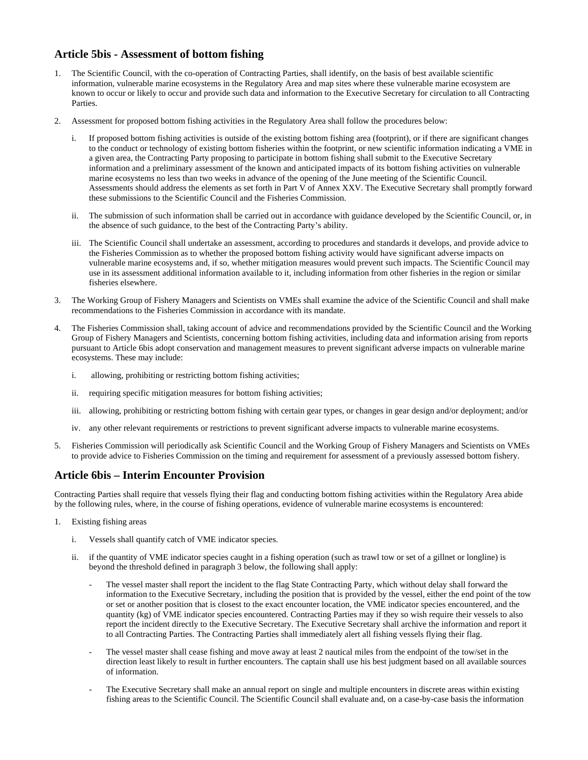# **Article 5bis - Assessment of bottom fishing**

- 1. The Scientific Council, with the co-operation of Contracting Parties, shall identify, on the basis of best available scientific information, vulnerable marine ecosystems in the Regulatory Area and map sites where these vulnerable marine ecosystem are known to occur or likely to occur and provide such data and information to the Executive Secretary for circulation to all Contracting **Parties**
- 2. Assessment for proposed bottom fishing activities in the Regulatory Area shall follow the procedures below:
	- i. If proposed bottom fishing activities is outside of the existing bottom fishing area (footprint), or if there are significant changes to the conduct or technology of existing bottom fisheries within the footprint, or new scientific information indicating a VME in a given area, the Contracting Party proposing to participate in bottom fishing shall submit to the Executive Secretary information and a preliminary assessment of the known and anticipated impacts of its bottom fishing activities on vulnerable marine ecosystems no less than two weeks in advance of the opening of the June meeting of the Scientific Council. Assessments should address the elements as set forth in Part V of Annex XXV. The Executive Secretary shall promptly forward these submissions to the Scientific Council and the Fisheries Commission.
	- ii. The submission of such information shall be carried out in accordance with guidance developed by the Scientific Council, or, in the absence of such guidance, to the best of the Contracting Party's ability.
	- iii. The Scientific Council shall undertake an assessment, according to procedures and standards it develops, and provide advice to the Fisheries Commission as to whether the proposed bottom fishing activity would have significant adverse impacts on vulnerable marine ecosystems and, if so, whether mitigation measures would prevent such impacts. The Scientific Council may use in its assessment additional information available to it, including information from other fisheries in the region or similar fisheries elsewhere.
- 3. The Working Group of Fishery Managers and Scientists on VMEs shall examine the advice of the Scientific Council and shall make recommendations to the Fisheries Commission in accordance with its mandate.
- 4. The Fisheries Commission shall, taking account of advice and recommendations provided by the Scientific Council and the Working Group of Fishery Managers and Scientists, concerning bottom fishing activities, including data and information arising from reports pursuant to Article 6bis adopt conservation and management measures to prevent significant adverse impacts on vulnerable marine ecosystems. These may include:
	- i. allowing, prohibiting or restricting bottom fishing activities;
	- ii. requiring specific mitigation measures for bottom fishing activities;
	- iii. allowing, prohibiting or restricting bottom fishing with certain gear types, or changes in gear design and/or deployment; and/or
	- iv. any other relevant requirements or restrictions to prevent significant adverse impacts to vulnerable marine ecosystems.
- 5. Fisheries Commission will periodically ask Scientific Council and the Working Group of Fishery Managers and Scientists on VMEs to provide advice to Fisheries Commission on the timing and requirement for assessment of a previously assessed bottom fishery.

### **Article 6bis – Interim Encounter Provision**

Contracting Parties shall require that vessels flying their flag and conducting bottom fishing activities within the Regulatory Area abide by the following rules, where, in the course of fishing operations, evidence of vulnerable marine ecosystems is encountered:

- 1. Existing fishing areas
	- i. Vessels shall quantify catch of VME indicator species.
	- ii. if the quantity of VME indicator species caught in a fishing operation (such as trawl tow or set of a gillnet or longline) is beyond the threshold defined in paragraph 3 below, the following shall apply:
		- The vessel master shall report the incident to the flag State Contracting Party, which without delay shall forward the information to the Executive Secretary, including the position that is provided by the vessel, either the end point of the tow or set or another position that is closest to the exact encounter location, the VME indicator species encountered, and the quantity (kg) of VME indicator species encountered. Contracting Parties may if they so wish require their vessels to also report the incident directly to the Executive Secretary. The Executive Secretary shall archive the information and report it to all Contracting Parties. The Contracting Parties shall immediately alert all fishing vessels flying their flag.
		- The vessel master shall cease fishing and move away at least 2 nautical miles from the endpoint of the tow/set in the direction least likely to result in further encounters. The captain shall use his best judgment based on all available sources of information.
		- The Executive Secretary shall make an annual report on single and multiple encounters in discrete areas within existing fishing areas to the Scientific Council. The Scientific Council shall evaluate and, on a case-by-case basis the information